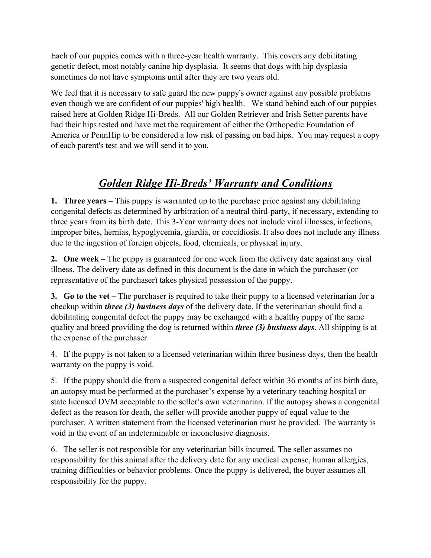Each of our puppies comes with a three-year health warranty. This covers any debilitating genetic defect, most notably canine hip dysplasia. It seems that dogs with hip dysplasia sometimes do not have symptoms until after they are two years old.

We feel that it is necessary to safe guard the new puppy's owner against any possible problems even though we are confident of our puppies' high health. We stand behind each of our puppies raised here at Golden Ridge Hi-Breds. All our Golden Retriever and Irish Setter parents have had their hips tested and have met the requirement of either the Orthopedic Foundation of America or PennHip to be considered a low risk of passing on bad hips. You may request a copy of each parent's test and we will send it to you.

## *Golden Ridge Hi-Breds' Warranty and Conditions*

**1. Three years** – This puppy is warranted up to the purchase price against any debilitating congenital defects as determined by arbitration of a neutral third-party, if necessary, extending to three years from its birth date. This 3-Year warranty does not include viral illnesses, infections, improper bites, hernias, hypoglycemia, giardia, or coccidiosis. It also does not include any illness due to the ingestion of foreign objects, food, chemicals, or physical injury.

**2. One week** – The puppy is guaranteed for one week from the delivery date against any viral illness. The delivery date as defined in this document is the date in which the purchaser (or representative of the purchaser) takes physical possession of the puppy.

**3. Go to the vet** – The purchaser is required to take their puppy to a licensed veterinarian for a checkup within *three (3) business days* of the delivery date. If the veterinarian should find a debilitating congenital defect the puppy may be exchanged with a healthy puppy of the same quality and breed providing the dog is returned within *three (3) business days*. All shipping is at the expense of the purchaser.

4. If the puppy is not taken to a licensed veterinarian within three business days, then the health warranty on the puppy is void.

5. If the puppy should die from a suspected congenital defect within 36 months of its birth date, an autopsy must be performed at the purchaser's expense by a veterinary teaching hospital or state licensed DVM acceptable to the seller's own veterinarian. If the autopsy shows a congenital defect as the reason for death, the seller will provide another puppy of equal value to the purchaser. A written statement from the licensed veterinarian must be provided. The warranty is void in the event of an indeterminable or inconclusive diagnosis.

6. The seller is not responsible for any veterinarian bills incurred. The seller assumes no responsibility for this animal after the delivery date for any medical expense, human allergies, training difficulties or behavior problems. Once the puppy is delivered, the buyer assumes all responsibility for the puppy.